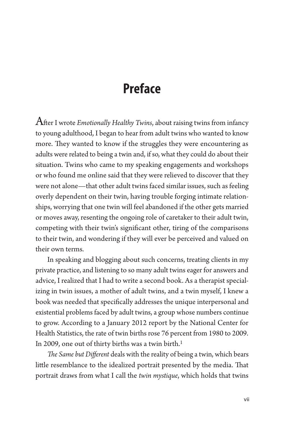## **Preface**

After I wrote *Emotionally Healthy Twins*, about raising twins from infancy to young adulthood, I began to hear from adult twins who wanted to know more. They wanted to know if the struggles they were encountering as adults were related to being a twin and, if so, what they could do about their situation. Twins who came to my speaking engagements and workshops or who found me online said that they were relieved to discover that they were not alone—that other adult twins faced similar issues, such as feeling overly dependent on their twin, having trouble forging intimate relationships, worrying that one twin will feel abandoned if the other gets married or moves away, resenting the ongoing role of caretaker to their adult twin, competing with their twin's significant other, tiring of the comparisons to their twin, and wondering if they will ever be perceived and valued on their own terms.

In speaking and blogging about such concerns, treating clients in my private practice, and listening to so many adult twins eager for answers and advice, I realized that I had to write a second book. As a therapist specializing in twin issues, a mother of adult twins, and a twin myself, I knew a book was needed that specifically addresses the unique interpersonal and existential problems faced by adult twins, a group whose numbers continue to grow. According to a January 2012 report by the National Center for Health Statistics, the rate of twin births rose 76 percent from 1980 to 2009. In 2009, one out of thirty births was a twin birth.<sup>1</sup>

*The Same but Different* deals with the reality of being a twin, which bears little resemblance to the idealized portrait presented by the media. That portrait draws from what I call the *twin mystique*, which holds that twins